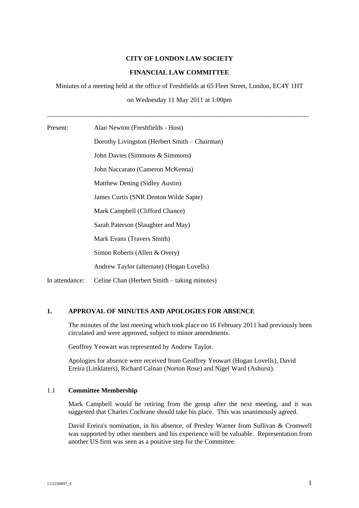#### **CITY OF LONDON LAW SOCIETY**

### **FINANCIAL LAW COMMITTEE**

Miniutes of a meeting held at the office of Freshfields at 65 Fleet Street, London, EC4Y 1HT

on Wednesday 11 May 2011 at 1:00pm

\_\_\_\_\_\_\_\_\_\_\_\_\_\_\_\_\_\_\_\_\_\_\_\_\_\_\_\_\_\_\_\_\_\_\_\_\_\_\_\_\_\_\_\_\_\_\_\_\_\_\_\_\_\_\_\_\_\_\_\_\_\_\_\_\_\_\_\_\_\_\_\_\_\_\_\_\_\_\_

| Present: |  | Alan Newton (Freshfields - Host) |
|----------|--|----------------------------------|
|----------|--|----------------------------------|

Dorothy Livingston (Herbert Smith – Chairman) John Davies (Simmons & Simmons) John Naccarato (Cameron McKenna) Matthew Dening (Sidley Austin) James Curtis (SNR Denton Wilde Sapte) Mark Campbell (Clifford Chance) Sarah Paterson (Slaughter and May) Mark Evans (Travers Smith) Simon Roberts (Allen & Overy) Andrew Taylor (alternate) (Hogan Lovells) In attendance: Celine Chan (Herbert Smith – taking minutes)

# **1. APPROVAL OF MINUTES AND APOLOGIES FOR ABSENCE**

The minutes of the last meeting which took place on 16 February 2011 had previously been circulated and were approved, subject to minor amendments.

Geoffrey Yeowart was represented by Andrew Taylor.

Apologies for absence were received from Geoffrey Yeowart (Hogan Lovells), David Ereira (Linklaters), Richard Calnan (Norton Rose) and Nigel Ward (Ashurst).

# 1.1 **Committee Membership**

Mark Campbell would be retiring from the group after the next meeting, and it was suggested that Charles Cochrane should take his place. This was unanimously agreed.

David Ereira's nomination, in his absence, of Presley Warner from Sullivan & Cromwell was supported by other members and his experience will be valuable. Representation from another US firm was seen as a positive step for the Committee.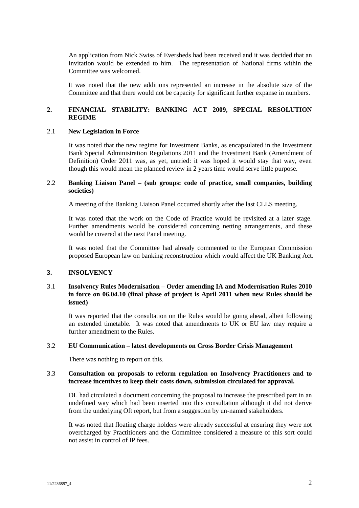An application from Nick Swiss of Eversheds had been received and it was decided that an invitation would be extended to him. The representation of National firms within the Committee was welcomed.

It was noted that the new additions represented an increase in the absolute size of the Committee and that there would not be capacity for significant further expanse in numbers.

# **2. FINANCIAL STABILITY: BANKING ACT 2009, SPECIAL RESOLUTION REGIME**

#### 2.1 **New Legislation in Force**

It was noted that the new regime for Investment Banks, as encapsulated in the Investment Bank Special Administration Regulations 2011 and the Investment Bank (Amendment of Definition) Order 2011 was, as yet, untried: it was hoped it would stay that way, even though this would mean the planned review in 2 years time would serve little purpose.

## 2.2 **Banking Liaison Panel – (sub groups: code of practice, small companies, building societies)**

A meeting of the Banking Liaison Panel occurred shortly after the last CLLS meeting.

It was noted that the work on the Code of Practice would be revisited at a later stage. Further amendments would be considered concerning netting arrangements, and these would be covered at the next Panel meeting.

It was noted that the Committee had already commented to the European Commission proposed European law on banking reconstruction which would affect the UK Banking Act.

### **3. INSOLVENCY**

# 3.1 **Insolvency Rules Modernisation – Order amending IA and Modernisation Rules 2010 in force on 06.04.10 (final phase of project is April 2011 when new Rules should be issued)**

It was reported that the consultation on the Rules would be going ahead, albeit following an extended timetable. It was noted that amendments to UK or EU law may require a further amendment to the Rules.

#### 3.2 **EU Communication – latest developments on Cross Border Crisis Management**

There was nothing to report on this.

## 3.3 **Consultation on proposals to reform regulation on Insolvency Practitioners and to increase incentives to keep their costs down, submission circulated for approval.**

DL had circulated a document concerning the proposal to increase the prescribed part in an undefined way which had been inserted into this consultation although it did not derive from the underlying Oft report, but from a suggestion by un-named stakeholders.

It was noted that floating charge holders were already successful at ensuring they were not overcharged by Practitioners and the Committee considered a measure of this sort could not assist in control of IP fees.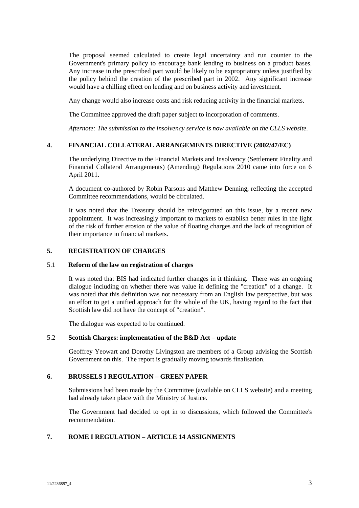The proposal seemed calculated to create legal uncertainty and run counter to the Government's primary policy to encourage bank lending to business on a product bases. Any increase in the prescribed part would be likely to be expropriatory unless justified by the policy behind the creation of the prescribed part in 2002. Any significant increase would have a chilling effect on lending and on business activity and investment.

Any change would also increase costs and risk reducing activity in the financial markets.

The Committee approved the draft paper subject to incorporation of comments.

*Afternote: The submission to the insolvency service is now available on the CLLS website.*

### **4. FINANCIAL COLLATERAL ARRANGEMENTS DIRECTIVE (2002/47/EC)**

The underlying Directive to the Financial Markets and Insolvency (Settlement Finality and Financial Collateral Arrangements) (Amending) Regulations 2010 came into force on 6 April 2011.

A document co-authored by Robin Parsons and Matthew Denning, reflecting the accepted Committee recommendations, would be circulated.

It was noted that the Treasury should be reinvigorated on this issue, by a recent new appointment. It was increasingly important to markets to establish better rules in the light of the risk of further erosion of the value of floating charges and the lack of recognition of their importance in financial markets.

#### **5. REGISTRATION OF CHARGES**

#### 5.1 **Reform of the law on registration of charges**

It was noted that BIS had indicated further changes in it thinking. There was an ongoing dialogue including on whether there was value in defining the "creation" of a change. It was noted that this definition was not necessary from an English law perspective, but was an effort to get a unified approach for the whole of the UK, having regard to the fact that Scottish law did not have the concept of "creation".

The dialogue was expected to be continued.

## 5.2 **Scottish Charges: implementation of the B&D Act – update**

Geoffrey Yeowart and Dorothy Livingston are members of a Group advising the Scottish Government on this. The report is gradually moving towards finalisation.

#### **6. BRUSSELS I REGULATION – GREEN PAPER**

Submissions had been made by the Committee (available on CLLS website) and a meeting had already taken place with the Ministry of Justice.

The Government had decided to opt in to discussions, which followed the Committee's recommendation.

#### **7. ROME I REGULATION – ARTICLE 14 ASSIGNMENTS**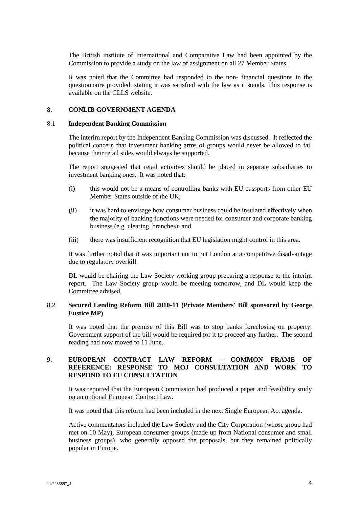The British Institute of International and Comparative Law had been appointed by the Commission to provide a study on the law of assignment on all 27 Member States.

It was noted that the Committee had responded to the non- financial questions in the questionnaire provided, stating it was satisfied with the law as it stands. This response is available on the CLLS website.

### **8. CONLIB GOVERNMENT AGENDA**

#### 8.1 **Independent Banking Commission**

The interim report by the Independent Banking Commission was discussed. It reflected the political concern that investment banking arms of groups would never be allowed to fail because their retail sides would always be supported.

The report suggested that retail activities should be placed in separate subsidiaries to investment banking ones. It was noted that:

- (i) this would not be a means of controlling banks with EU passports from other EU Member States outside of the UK;
- (ii) it was hard to envisage how consumer business could be insulated effectively when the majority of banking functions were needed for consumer and corporate banking business (e.g. clearing, branches); and
- (iii) there was insufficient recognition that EU legislation might control in this area.

It was further noted that it was important not to put London at a competitive disadvantage due to regulatory overkill.

DL would be chairing the Law Society working group preparing a response to the interim report. The Law Society group would be meeting tomorrow, and DL would keep the Committee advised.

### 8.2 **Secured Lending Reform Bill 2010-11 (Private Members' Bill sponsored by George Eustice MP)**

It was noted that the premise of this Bill was to stop banks foreclosing on property. Government support of the bill would be required for it to proceed any further. The second reading had now moved to 11 June.

# **9. EUROPEAN CONTRACT LAW REFORM – COMMON FRAME OF REFERENCE: RESPONSE TO MOJ CONSULTATION AND WORK TO RESPOND TO EU CONSULTATION**

It was reported that the European Commission had produced a paper and feasibility study on an optional European Contract Law.

It was noted that this reform had been included in the next Single European Act agenda.

Active commentators included the Law Society and the City Corporation (whose group had met on 10 May), European consumer groups (made up from National consumer and small business groups), who generally opposed the proposals, but they remained politically popular in Europe.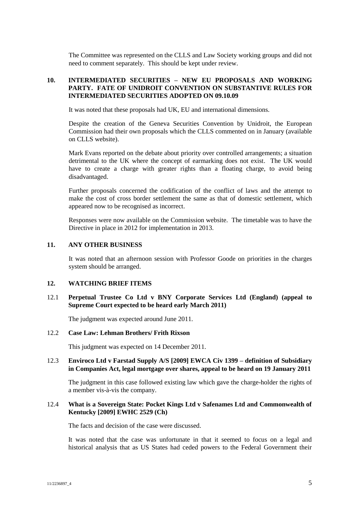The Committee was represented on the CLLS and Law Society working groups and did not need to comment separately. This should be kept under review.

# **10. INTERMEDIATED SECURITIES – NEW EU PROPOSALS AND WORKING PARTY. FATE OF UNIDROIT CONVENTION ON SUBSTANTIVE RULES FOR INTERMEDIATED SECURITIES ADOPTED ON 09.10.09**

It was noted that these proposals had UK, EU and international dimensions.

Despite the creation of the Geneva Securities Convention by Unidroit, the European Commission had their own proposals which the CLLS commented on in January (available on CLLS website).

Mark Evans reported on the debate about priority over controlled arrangements; a situation detrimental to the UK where the concept of earmarking does not exist. The UK would have to create a charge with greater rights than a floating charge, to avoid being disadvantaged.

Further proposals concerned the codification of the conflict of laws and the attempt to make the cost of cross border settlement the same as that of domestic settlement, which appeared now to be recognised as incorrect.

Responses were now available on the Commission website. The timetable was to have the Directive in place in 2012 for implementation in 2013.

#### **11. ANY OTHER BUSINESS**

It was noted that an afternoon session with Professor Goode on priorities in the charges system should be arranged.

### **12. WATCHING BRIEF ITEMS**

# 12.1 **Perpetual Trustee Co Ltd v BNY Corporate Services Ltd (England) (appeal to Supreme Court expected to be heard early March 2011)**

The judgment was expected around June 2011.

#### 12.2 **Case Law: Lehman Brothers/ Frith Rixson**

This judgment was expected on 14 December 2011.

## 12.3 **Enviroco Ltd v Farstad Supply A/S [2009] EWCA Civ 1399 – definition of Subsidiary in Companies Act, legal mortgage over shares, appeal to be heard on 19 January 2011**

The judgment in this case followed existing law which gave the charge-holder the rights of a member vis-à-vis the company.

#### 12.4 **What is a Sovereign State: Pocket Kings Ltd v Safenames Ltd and Commonwealth of Kentucky [2009] EWHC 2529 (Ch)**

The facts and decision of the case were discussed.

It was noted that the case was unfortunate in that it seemed to focus on a legal and historical analysis that as US States had ceded powers to the Federal Government their